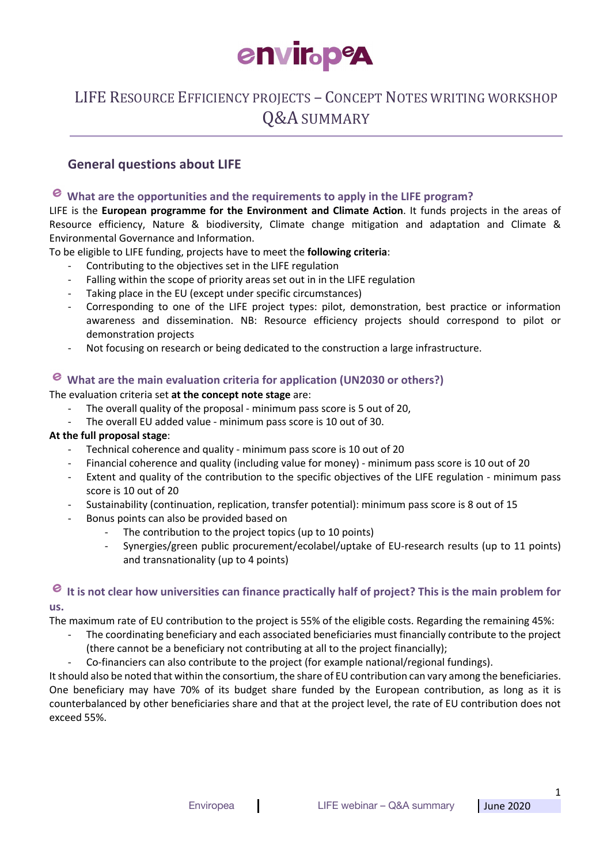

# LIFE RESOURCE EFFICIENCY PROJECTS - CONCEPT NOTES WRITING WORKSHOP Q&A SUMMARY

#### **General questions about LIFE**

#### e **What are the opportunities and the requirements to apply in the LIFE program?**

LIFE is the **European programme for the Environment and Climate Action**. It funds projects in the areas of Resource efficiency, Nature & biodiversity, Climate change mitigation and adaptation and Climate & Environmental Governance and Information.

To be eligible to LIFE funding, projects have to meet the **following criteria**:

- Contributing to the objectives set in the LIFE regulation
- Falling within the scope of priority areas set out in in the LIFE regulation
- Taking place in the EU (except under specific circumstances)
- Corresponding to one of the LIFE project types: pilot, demonstration, best practice or information awareness and dissemination. NB: Resource efficiency projects should correspond to pilot or demonstration projects
- Not focusing on research or being dedicated to the construction a large infrastructure.

# **What are the main evaluation criteria for application (UN2030 or others?)**

The evaluation criteria set **at the concept note stage** are:

- The overall quality of the proposal minimum pass score is 5 out of 20,
- The overall EU added value minimum pass score is 10 out of 30.

#### **At the full proposal stage**:

- Technical coherence and quality minimum pass score is 10 out of 20
- Financial coherence and quality (including value for money) minimum pass score is 10 out of 20
- Extent and quality of the contribution to the specific objectives of the LIFE regulation minimum pass score is 10 out of 20
- Sustainability (continuation, replication, transfer potential): minimum pass score is 8 out of 15
- Bonus points can also be provided based on
	- The contribution to the project topics (up to 10 points)
	- Synergies/green public procurement/ecolabel/uptake of EU-research results (up to 11 points) and transnationality (up to 4 points)

#### **It is not clear how universities can finance practically half of project? This is the main problem for us.**

The maximum rate of EU contribution to the project is 55% of the eligible costs. Regarding the remaining 45%:

- The coordinating beneficiary and each associated beneficiaries must financially contribute to the project (there cannot be a beneficiary not contributing at all to the project financially);
	- Co-financiers can also contribute to the project (for example national/regional fundings).

It should also be noted that within the consortium, the share of EU contribution can vary among the beneficiaries. One beneficiary may have 70% of its budget share funded by the European contribution, as long as it is counterbalanced by other beneficiaries share and that at the project level, the rate of EU contribution does not exceed 55%.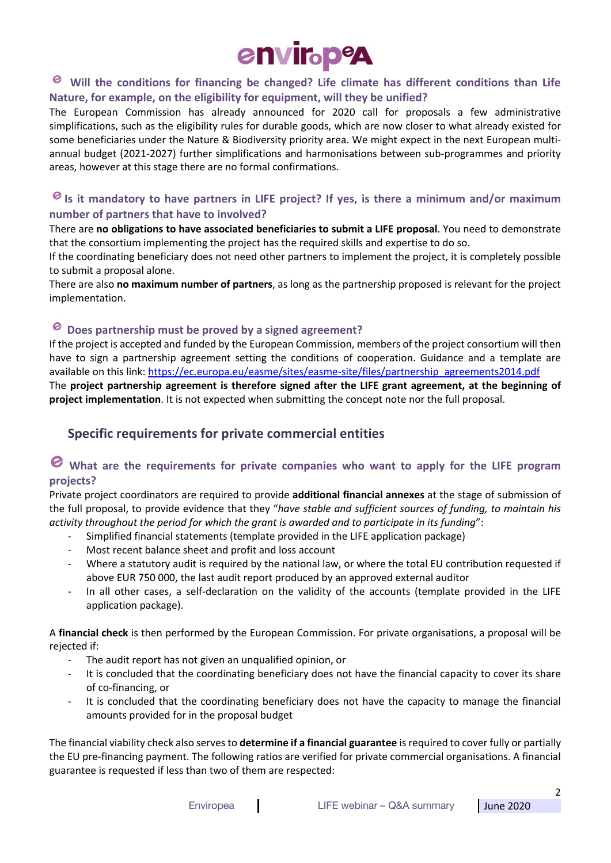

#### e **Will the conditions for financing be changed? Life climate has different conditions than Life Nature, for example, on the eligibility for equipment, will they be unified?**

The European Commission has already announced for 2020 call for proposals a few administrative simplifications, such as the eligibility rules for durable goods, which are now closer to what already existed for some beneficiaries under the Nature & Biodiversity priority area. We might expect in the next European multiannual budget (2021-2027) further simplifications and harmonisations between sub-programmes and priority areas, however at this stage there are no formal confirmations.

#### **Is it mandatory to have partners in LIFE project? If yes, is there a minimum and/or maximum number of partners that have to involved?**

There are **no obligations to have associated beneficiaries to submit a LIFE proposal**. You need to demonstrate that the consortium implementing the project has the required skills and expertise to do so.

If the coordinating beneficiary does not need other partners to implement the project, it is completely possible to submit a proposal alone.

There are also **no maximum number of partners**, as long as the partnership proposed is relevant for the project implementation.

#### **Does partnership must be proved by a signed agreement?**

If the project is accepted and funded by the European Commission, members of the project consortium will then have to sign a partnership agreement setting the conditions of cooperation. Guidance and a template are available on this link: https://ec.europa.eu/easme/sites/easme-site/files/partnership\_agreements2014.pdf The **project partnership agreement is therefore signed after the LIFE grant agreement, at the beginning of project implementation**. It is not expected when submitting the concept note nor the full proposal.

#### **Specific requirements for private commercial entities**

## **What are the requirements for private companies who want to apply for the LIFE program projects?**

Private project coordinators are required to provide **additional financial annexes** at the stage of submission of the full proposal, to provide evidence that they "*have stable and sufficient sources of funding, to maintain his activity throughout the period for which the grant is awarded and to participate in its funding*":

- Simplified financial statements (template provided in the LIFE application package)
- Most recent balance sheet and profit and loss account
- Where a statutory audit is required by the national law, or where the total EU contribution requested if above EUR 750 000, the last audit report produced by an approved external auditor
- In all other cases, a self-declaration on the validity of the accounts (template provided in the LIFE application package).

A **financial check** is then performed by the European Commission. For private organisations, a proposal will be rejected if:

- The audit report has not given an unqualified opinion, or
- It is concluded that the coordinating beneficiary does not have the financial capacity to cover its share of co-financing, or
- It is concluded that the coordinating beneficiary does not have the capacity to manage the financial amounts provided for in the proposal budget

The financial viability check also serves to **determine if a financial guarantee** is required to cover fully or partially the EU pre-financing payment. The following ratios are verified for private commercial organisations. A financial guarantee is requested if less than two of them are respected:

2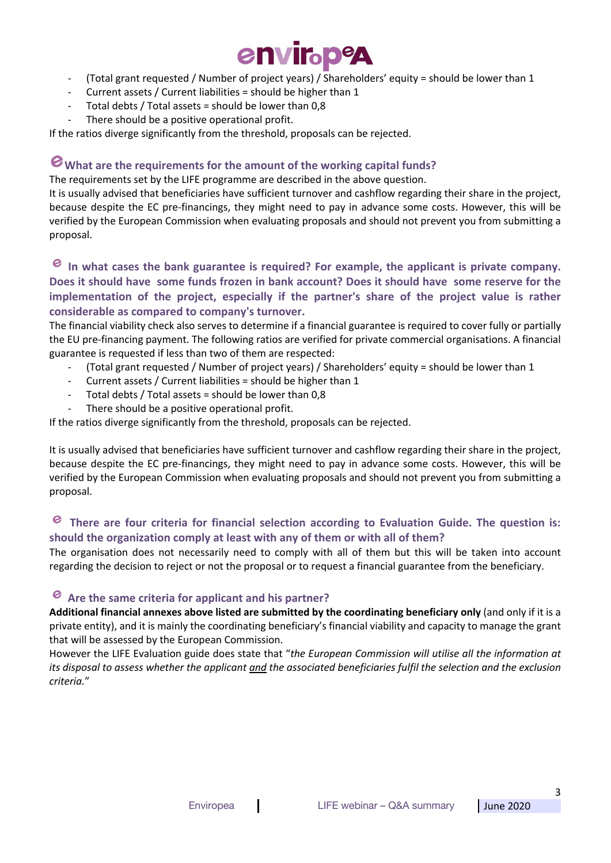

- (Total grant requested / Number of project years) / Shareholders' equity = should be lower than 1
- Current assets / Current liabilities = should be higher than 1
- Total debts / Total assets = should be lower than  $0.8$
- There should be a positive operational profit.

If the ratios diverge significantly from the threshold, proposals can be rejected.

### **What are the requirements for the amount of the working capital funds?**

The requirements set by the LIFE programme are described in the above question.

It is usually advised that beneficiaries have sufficient turnover and cashflow regarding their share in the project, because despite the EC pre-financings, they might need to pay in advance some costs. However, this will be verified by the European Commission when evaluating proposals and should not prevent you from submitting a proposal.

**In what cases the bank guarantee is required? For example, the applicant is private company. Does it should have some funds frozen in bank account? Does it should have some reserve for the implementation of the project, especially if the partner's share of the project value is rather considerable as compared to company's turnover.**

The financial viability check also serves to determine if a financial guarantee is required to cover fully or partially the EU pre-financing payment. The following ratios are verified for private commercial organisations. A financial guarantee is requested if less than two of them are respected:

- (Total grant requested / Number of project years) / Shareholders' equity = should be lower than 1
- Current assets / Current liabilities = should be higher than 1
- Total debts / Total assets = should be lower than  $0.8$
- There should be a positive operational profit.

If the ratios diverge significantly from the threshold, proposals can be rejected.

It is usually advised that beneficiaries have sufficient turnover and cashflow regarding their share in the project, because despite the EC pre-financings, they might need to pay in advance some costs. However, this will be verified by the European Commission when evaluating proposals and should not prevent you from submitting a proposal.

#### **There are four criteria for financial selection according to Evaluation Guide. The question is: should the organization comply at least with any of them or with all of them?**

The organisation does not necessarily need to comply with all of them but this will be taken into account regarding the decision to reject or not the proposal or to request a financial guarantee from the beneficiary.

#### **Are the same criteria for applicant and his partner?**

**Additional financial annexes above listed are submitted by the coordinating beneficiary only** (and only if it is a private entity), and it is mainly the coordinating beneficiary's financial viability and capacity to manage the grant that will be assessed by the European Commission.

However the LIFE Evaluation guide does state that "*the European Commission will utilise all the information at its disposal to assess whether the applicant and the associated beneficiaries fulfil the selection and the exclusion criteria.*"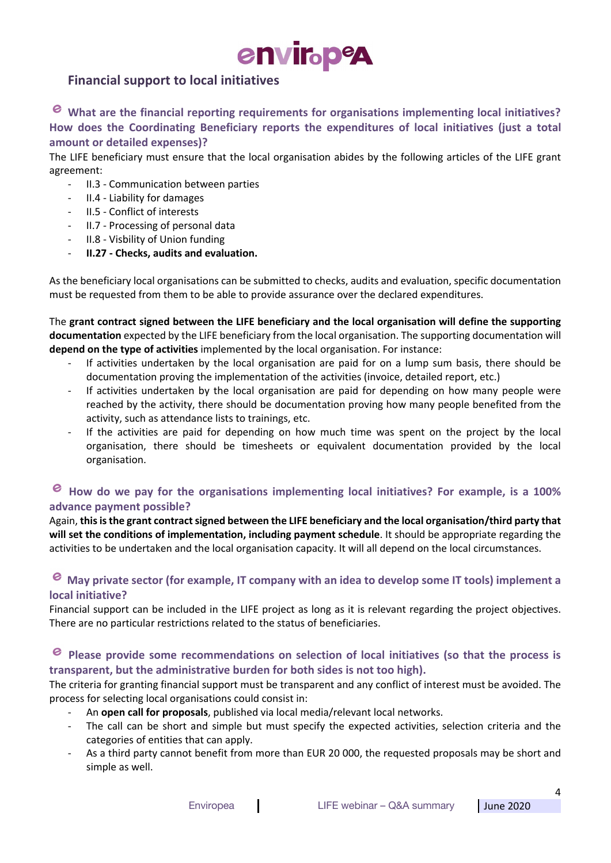# envir<sub>bpe</sub>

### **Financial support to local initiatives**

**What are the financial reporting requirements for organisations implementing local initiatives? How does the Coordinating Beneficiary reports the expenditures of local initiatives (just a total amount or detailed expenses)?**

The LIFE beneficiary must ensure that the local organisation abides by the following articles of the LIFE grant agreement:

- II.3 Communication between parties
- II.4 Liability for damages
- II.5 Conflict of interests
- II.7 Processing of personal data
- II.8 Visbility of Union funding
- **II.27 - Checks, audits and evaluation.**

As the beneficiary local organisations can be submitted to checks, audits and evaluation, specific documentation must be requested from them to be able to provide assurance over the declared expenditures.

The **grant contract signed between the LIFE beneficiary and the local organisation will define the supporting documentation** expected by the LIFE beneficiary from the local organisation. The supporting documentation will **depend on the type of activities** implemented by the local organisation. For instance:

- If activities undertaken by the local organisation are paid for on a lump sum basis, there should be documentation proving the implementation of the activities (invoice, detailed report, etc.)
- If activities undertaken by the local organisation are paid for depending on how many people were reached by the activity, there should be documentation proving how many people benefited from the activity, such as attendance lists to trainings, etc.
- If the activities are paid for depending on how much time was spent on the project by the local organisation, there should be timesheets or equivalent documentation provided by the local organisation.

#### e **How do we pay for the organisations implementing local initiatives? For example, is a 100% advance payment possible?**

Again, **this is the grant contract signed between the LIFE beneficiary and the local organisation/third party that will set the conditions of implementation, including payment schedule**. It should be appropriate regarding the activities to be undertaken and the local organisation capacity. It will all depend on the local circumstances.

#### **May private sector (for example, IT company with an idea to develop some IT tools) implement a local initiative?**

Financial support can be included in the LIFE project as long as it is relevant regarding the project objectives. There are no particular restrictions related to the status of beneficiaries.

#### e **Please provide some recommendations on selection of local initiatives (so that the process is transparent, but the administrative burden for both sides is not too high).**

The criteria for granting financial support must be transparent and any conflict of interest must be avoided. The process for selecting local organisations could consist in:

- An **open call for proposals**, published via local media/relevant local networks.
- The call can be short and simple but must specify the expected activities, selection criteria and the categories of entities that can apply.
- As a third party cannot benefit from more than EUR 20 000, the requested proposals may be short and simple as well.

4